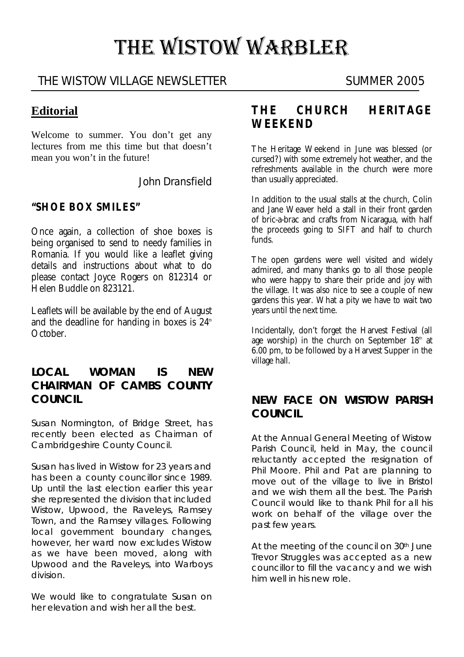# THE WISTOW WARBLER

## THE WISTOW VILLAGE NEWSLETTER SUMMER 2005

## **Editorial**

Welcome to summer. You don't get any lectures from me this time but that doesn't mean you won't in the future!

John Dransfield

#### **"SHOE BOX SMILES"**

Once again, a collection of shoe boxes is being organised to send to needy families in Romania. If you would like a leaflet giving details and instructions about what to do please contact Joyce Rogers on 812314 or Helen Buddle on 823121.

Leaflets will be available by the end of August and the deadline for handing in boxes is  $24<sup>th</sup>$ October.

#### **LOCAL WOMAN IS NEW CHAIRMAN OF CAMBS COUNTY COUNCIL**

Susan Normington, of Bridge Street, has recently been elected as Chairman of Cambridgeshire County Council.

Susan has lived in Wistow for 23 years and has been a county councillor since 1989. Up until the last election earlier this year she represented the division that included Wistow, Upwood, the Raveleys, Ramsey Town, and the Ramsey villages. Following local government boundary changes, however, her ward now excludes Wistow as we have been moved, along with Upwood and the Raveleys, into Warboys division.

We would like to congratulate Susan on her elevation and wish her all the best.

#### **THE CHURCH HERITAGE WEEKEND**

The Heritage Weekend in June was blessed (or cursed?) with some extremely hot weather, and the refreshments available in the church were more than usually appreciated.

In addition to the usual stalls at the church, Colin and Jane Weaver held a stall in their front garden of bric-a-brac and crafts from Nicaragua, with half the proceeds going to SIFT and half to church funds.

The open gardens were well visited and widely admired, and many thanks go to all those people who were happy to share their pride and joy with the village. It was also nice to see a couple of new gardens this year. What a pity we have to wait two years until the next time.

Incidentally, don't forget the Harvest Festival (all age worship) in the church on September  $18<sup>th</sup>$  at 6.00 pm, to be followed by a Harvest Supper in the village hall.

## **NEW FACE ON WISTOW PARISH COUNCIL**

At the Annual General Meeting of Wistow Parish Council, held in May, the council reluctantly accepted the resignation of Phil Moore. Phil and Pat are planning to move out of the village to live in Bristol and we wish them all the best. The Parish Council would like to thank Phil for all his work on behalf of the village over the past few years.

At the meeting of the council on 30<sup>th</sup> June Trevor Struggles was accepted as a new councillor to fill the vacancy and we wish him well in his new role.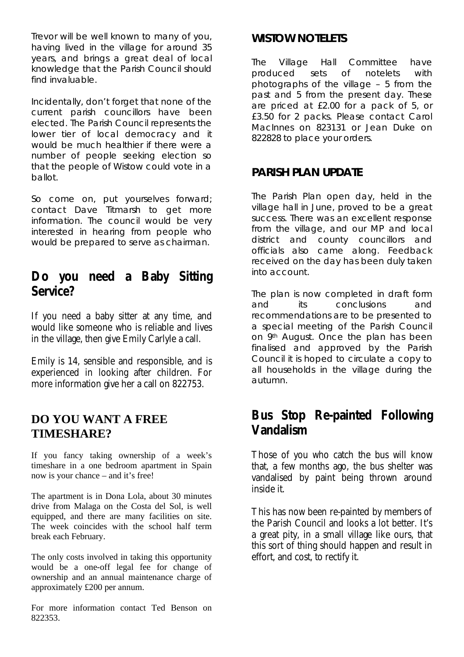Trevor will be well known to many of you, having lived in the village for around 35 years, and brings a great deal of local knowledge that the Parish Council should find invaluable.

Incidentally, don't forget that none of the current parish councillors have been elected. The Parish Council represents the lower tier of local democracy and it would be much healthier if there were a number of people seeking election so that the people of Wistow could vote in a ballot.

So come on, put yourselves forward; contact Dave Titmarsh to get more information. The council would be very interested in hearing from people who would be prepared to serve as chairman.

## **Do you need a Baby Sitting Service?**

If you need a baby sitter at any time, and would like someone who is reliable and lives in the village, then give Emily Carlyle a call.

Emily is 14, sensible and responsible, and is experienced in looking after children. For more information give her a call on 822753.

## **DO YOU WANT A FREE TIMESHARE?**

If you fancy taking ownership of a week's timeshare in a one bedroom apartment in Spain now is your chance – and it's free!

The apartment is in Dona Lola, about 30 minutes drive from Malaga on the Costa del Sol, is well equipped, and there are many facilities on site. The week coincides with the school half term break each February.

The only costs involved in taking this opportunity would be a one-off legal fee for change of ownership and an annual maintenance charge of approximately £200 per annum.

For more information contact Ted Benson on 822353.

## **WISTOW NOTELETS**

The Village Hall Committee have produced sets of notelets with photographs of the village – 5 from the past and 5 from the present day. These are priced at £2.00 for a pack of 5, or £3.50 for 2 packs. Please contact Carol MacInnes on 823131 or Jean Duke on 822828 to place your orders.

## **PARISH PLAN UPDATE**

The Parish Plan open day, held in the village hall in June, proved to be a great success. There was an excellent response from the village, and our MP and local district and county councillors and officials also came along. Feedback received on the day has been duly taken into account.

The plan is now completed in draft form and its conclusions and recommendations are to be presented to a special meeting of the Parish Council on 9th August. Once the plan has been finalised and approved by the Parish Council it is hoped to circulate a copy to all households in the village during the autumn.

# **Bus Stop Re-painted Following Vandalism**

Those of you who catch the bus will know that, a few months ago, the bus shelter was vandalised by paint being thrown around inside it.

This has now been re-painted by members of the Parish Council and looks a lot better. It's a great pity, in a small village like ours, that this sort of thing should happen and result in effort, and cost, to rectify it.